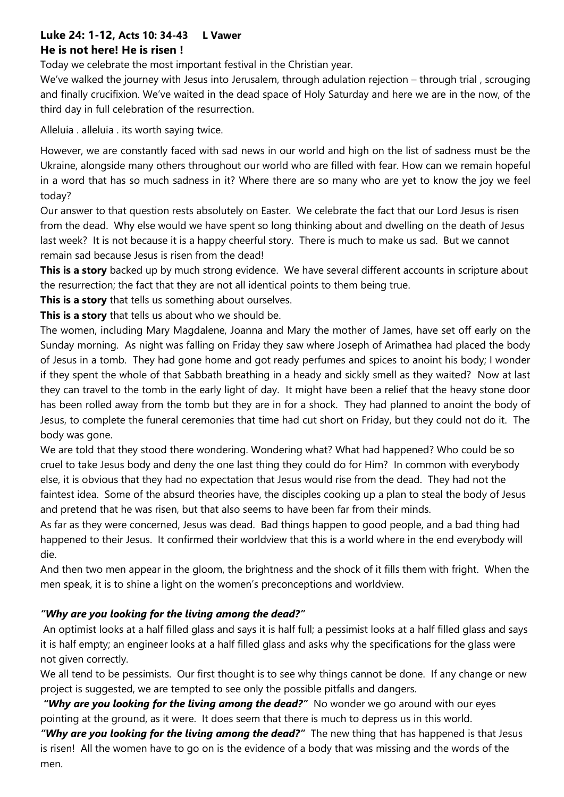## **Luke 24: 1-12, Acts 10: 34-43 L Vawer He is not here! He is risen !**

Today we celebrate the most important festival in the Christian year.

We've walked the journey with Jesus into Jerusalem, through adulation rejection – through trial, scrouging and finally crucifixion. We've waited in the dead space of Holy Saturday and here we are in the now, of the third day in full celebration of the resurrection.

Alleluia . alleluia . its worth saying twice.

However, we are constantly faced with sad news in our world and high on the list of sadness must be the Ukraine, alongside many others throughout our world who are filled with fear. How can we remain hopeful in a word that has so much sadness in it? Where there are so many who are yet to know the joy we feel today?

Our answer to that question rests absolutely on Easter. We celebrate the fact that our Lord Jesus is risen from the dead. Why else would we have spent so long thinking about and dwelling on the death of Jesus last week? It is not because it is a happy cheerful story. There is much to make us sad. But we cannot remain sad because Jesus is risen from the dead!

**This is a story** backed up by much strong evidence. We have several different accounts in scripture about the resurrection; the fact that they are not all identical points to them being true.

**This is a story** that tells us something about ourselves.

**This is a story** that tells us about who we should be.

The women, including Mary Magdalene, Joanna and Mary the mother of James, have set off early on the Sunday morning. As night was falling on Friday they saw where Joseph of Arimathea had placed the body of Jesus in a tomb. They had gone home and got ready perfumes and spices to anoint his body; I wonder if they spent the whole of that Sabbath breathing in a heady and sickly smell as they waited? Now at last they can travel to the tomb in the early light of day. It might have been a relief that the heavy stone door has been rolled away from the tomb but they are in for a shock. They had planned to anoint the body of Jesus, to complete the funeral ceremonies that time had cut short on Friday, but they could not do it. The body was gone.

We are told that they stood there wondering. Wondering what? What had happened? Who could be so cruel to take Jesus body and deny the one last thing they could do for Him? In common with everybody else, it is obvious that they had no expectation that Jesus would rise from the dead. They had not the faintest idea. Some of the absurd theories have, the disciples cooking up a plan to steal the body of Jesus and pretend that he was risen, but that also seems to have been far from their minds.

As far as they were concerned, Jesus was dead. Bad things happen to good people, and a bad thing had happened to their Jesus. It confirmed their worldview that this is a world where in the end everybody will die.

And then two men appear in the gloom, the brightness and the shock of it fills them with fright. When the men speak, it is to shine a light on the women's preconceptions and worldview.

## *"Why are you looking for the living among the dead?"*

An optimist looks at a half filled glass and says it is half full; a pessimist looks at a half filled glass and says it is half empty; an engineer looks at a half filled glass and asks why the specifications for the glass were not given correctly.

We all tend to be pessimists. Our first thought is to see why things cannot be done. If any change or new project is suggested, we are tempted to see only the possible pitfalls and dangers.

*"Why are you looking for the living among the dead?"* No wonder we go around with our eyes pointing at the ground, as it were. It does seem that there is much to depress us in this world.

*"Why are you looking for the living among the dead?"*The new thing that has happened is that Jesus is risen! All the women have to go on is the evidence of a body that was missing and the words of the men.